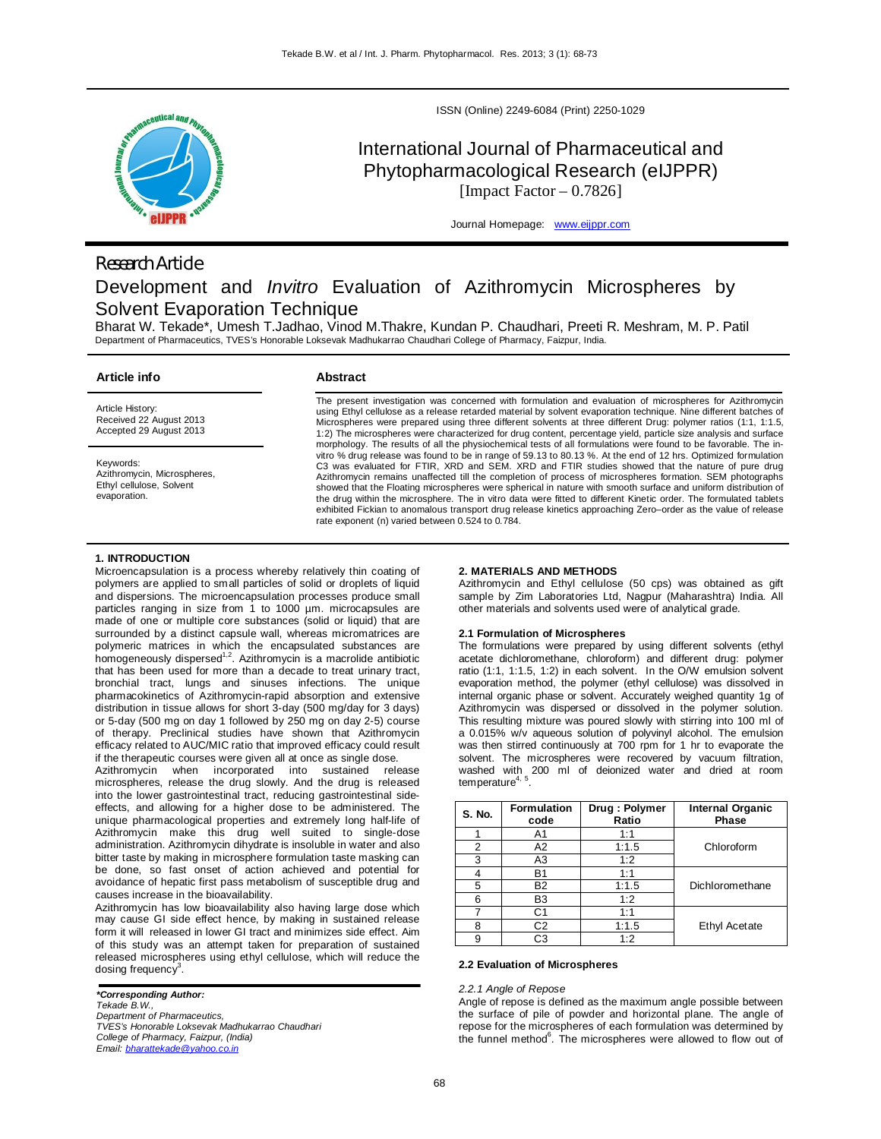

*Research Article*

ISSN (Online) 2249-6084 (Print) 2250-1029

# International Journal of Pharmaceutical and Phytopharmacological Research (eIJPPR) [Impact Factor  $-0.7826$ ]

Journal Homepage: www.eijppr.com

# Development and *Invitro* Evaluation of Azithromycin Microspheres by Solvent Evaporation Technique

Bharat W. Tekade\*, Umesh T.Jadhao, Vinod M.Thakre, Kundan P. Chaudhari, Preeti R. Meshram, M. P. Patil Department of Pharmaceutics, TVES's Honorable Loksevak Madhukarrao Chaudhari College of Pharmacy, Faizpur, India.

## **Article info**

## **Abstract**

Article History: Received 22 August 2013 Accepted 29 August 2013

Keywords: Azithromycin, Microspheres, Ethyl cellulose, Solvent evaporation.

The present investigation was concerned with formulation and evaluation of microspheres for Azithromycin using Ethyl cellulose as a release retarded material by solvent evaporation technique. Nine different batches of Microspheres were prepared using three different solvents at three different Drug: polymer ratios (1:1, 1:1.5, 1:2) The microspheres were characterized for drug content, percentage yield, particle size analysis and surface morphology. The results of all the physiochemical tests of all formulations were found to be favorable. The invitro % drug release was found to be in range of 59.13 to 80.13 %. At the end of 12 hrs. Optimized formulation C3 was evaluated for FTIR, XRD and SEM. XRD and FTIR studies showed that the nature of pure drug Azithromycin remains unaffected till the completion of process of microspheres formation. SEM photographs showed that the Floating microspheres were spherical in nature with smooth surface and uniform distribution of the drug within the microsphere. The in vitro data were fitted to different Kinetic order. The formulated tablets exhibited Fickian to anomalous transport drug release kinetics approaching Zero–order as the value of release rate exponent (n) varied between 0.524 to 0.784.

## **1. INTRODUCTION**

Microencapsulation is a process whereby relatively thin coating of polymers are applied to small particles of solid or droplets of liquid and dispersions. The microencapsulation processes produce small particles ranging in size from 1 to 1000 µm. microcapsules are made of one or multiple core substances (solid or liquid) that are surrounded by a distinct capsule wall, whereas micromatrices are polymeric matrices in which the encapsulated substances are<br>homogeneously dispersed<sup>1,2</sup>. Azithromycin is a macrolide antibiotic that has been used for more than a decade to treat urinary tract, bronchial tract, lungs and sinuses infections. The unique pharmacokinetics of Azithromycin-rapid absorption and extensive distribution in tissue allows for short 3-day (500 mg/day for 3 days) or 5-day (500 mg on day 1 followed by 250 mg on day 2-5) course of therapy. Preclinical studies have shown that Azithromycin efficacy related to AUC/MIC ratio that improved efficacy could result if the therapeutic courses were given all at once as single dose.

Azithromycin when incorporated into sustained release microspheres, release the drug slowly. And the drug is released into the lower gastrointestinal tract, reducing gastrointestinal sideeffects, and allowing for a higher dose to be administered. The unique pharmacological properties and extremely long half-life of Azithromycin make this drug well suited to single-dose administration. Azithromycin dihydrate is insoluble in water and also bitter taste by making in microsphere formulation taste masking can be done, so fast onset of action achieved and potential for avoidance of hepatic first pass metabolism of susceptible drug and causes increase in the bioavailability.

Azithromycin has low bioavailability also having large dose which may cause GI side effect hence, by making in sustained release form it will released in lower GI tract and minimizes side effect. Aim of this study was an attempt taken for preparation of sustained released microspheres using ethyl cellulose, which will reduce the dosing frequency<sup>3</sup>.

*\*Corresponding Author: Tekade B.W., Department of Pharmaceutics, TVES's Honorable Loksevak Madhukarrao Chaudhari College of Pharmacy, Faizpur, (India) Email: bharattekade@yahoo.co.in*

#### **2. MATERIALS AND METHODS**

Azithromycin and Ethyl cellulose (50 cps) was obtained as gift sample by Zim Laboratories Ltd, Nagpur (Maharashtra) India. All other materials and solvents used were of analytical grade.

#### **2.1 Formulation of Microspheres**

The formulations were prepared by using different solvents (ethyl acetate dichloromethane, chloroform) and different drug: polymer ratio (1:1, 1:1.5, 1:2) in each solvent. In the O/W emulsion solvent evaporation method, the polymer (ethyl cellulose) was dissolved in internal organic phase or solvent. Accurately weighed quantity 1g of Azithromycin was dispersed or dissolved in the polymer solution. This resulting mixture was poured slowly with stirring into 100 ml of a 0.015% w/v aqueous solution of polyvinyl alcohol. The emulsion was then stirred continuously at 700 rpm for 1 hr to evaporate the solvent. The microspheres were recovered by vacuum filtration, washed with 200 ml of deionized water and dried at room<br>temperature<sup>4, 5</sup>.

| S. No. | <b>Formulation</b><br>code | Drug: Polymer<br>Ratio | <b>Internal Organic</b><br><b>Phase</b> |
|--------|----------------------------|------------------------|-----------------------------------------|
|        | A1                         | 1:1                    |                                         |
| 2      | A2                         | 1:1.5                  | Chloroform                              |
| 3      | A3                         | 1:2                    |                                         |
|        | <b>B1</b>                  | 1:1                    |                                         |
| 5      | <b>B2</b>                  | 1:1.5                  | Dichloromethane                         |
| 6      | B3                         | 1:2                    |                                         |
|        | C1                         | 1:1                    |                                         |
| 8      | C2                         | 1:1.5                  | <b>Ethyl Acetate</b>                    |
| 9      | C3                         | 1:2                    |                                         |

## **2.2 Evaluation of Microspheres**

#### *2.2.1 Angle of Repose*

Angle of repose is defined as the maximum angle possible between the surface of pile of powder and horizontal plane. The angle of repose for the microspheres of each formulation was determined by the funnel method<sup>6</sup>. The microspheres were allowed to flow out of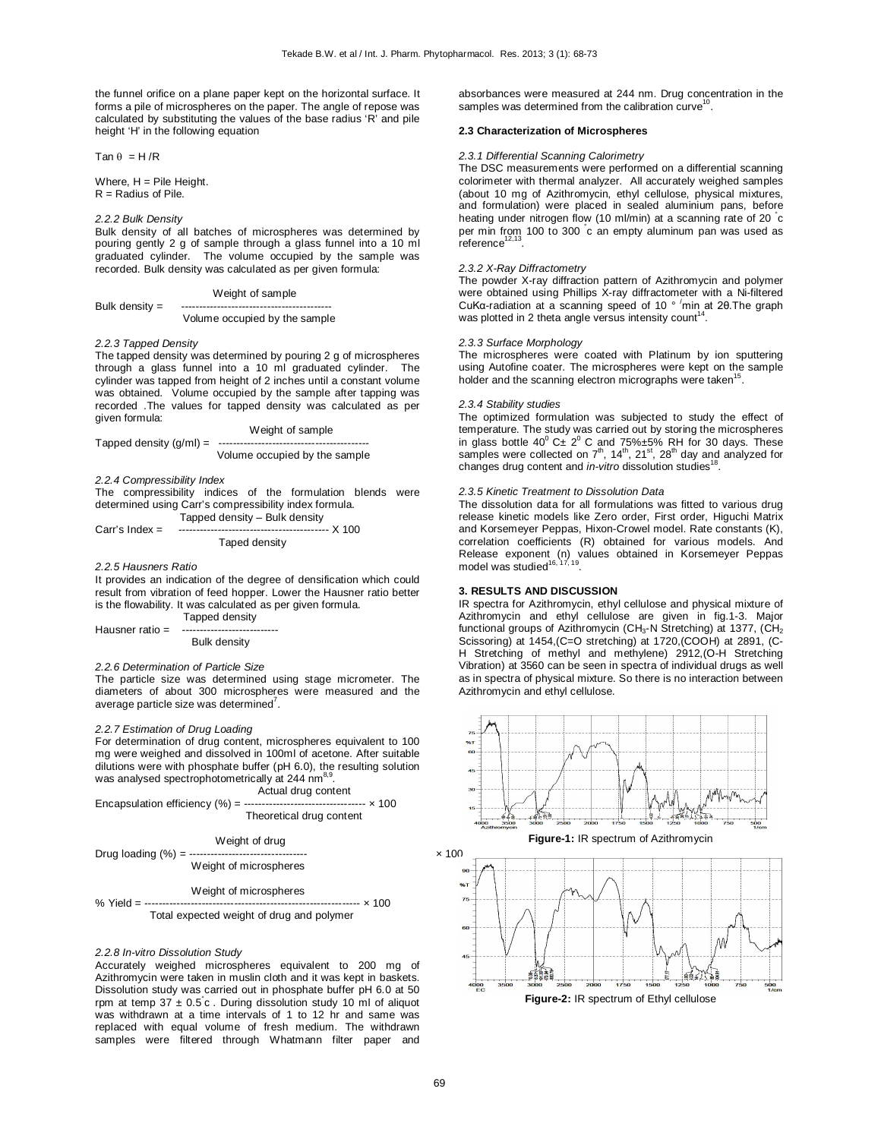the funnel orifice on a plane paper kept on the horizontal surface. It forms a pile of microspheres on the paper. The angle of repose was calculated by substituting the values of the base radius 'R' and pile height 'H' in the following equation

 $Tan \theta = H/R$ 

Where,  $H =$  Pile Height. R = Radius of Pile.

## *2.2.2 Bulk Density*

Bulk density of all batches of microspheres was determined by pouring gently 2 g of sample through a glass funnel into a 10 ml graduated cylinder. The volume occupied by the sample was recorded. Bulk density was calculated as per given formula:

Weight of sample

## Volume occupied by the sample

#### *2.2.3 Tapped Density*

Bulk density  $=$ 

The tapped density was determined by pouring 2 g of microspheres through a glass funnel into a 10 ml graduated cylinder. The cylinder was tapped from height of 2 inches until a constant volume was obtained. Volume occupied by the sample after tapping was recorded .The values for tapped density was calculated as per given formula:

 Weight of sample Tapped density  $(g/ml) = -1$ Volume occupied by the sample

*2.2.4 Compressibility Index*

The compressibility indices of the formulation blends were determined using Carr's compressibility index formula.

 Tapped density – Bulk density Carr's Index = ------------------------------------------ X 100 Taped density

#### *2.2.5 Hausners Ratio*

It provides an indication of the degree of densification which could result from vibration of feed hopper. Lower the Hausner ratio better is the flowability. It was calculated as per given formula. Tapped density

Hausner ratio = Bulk density

#### *2.2.6 Determination of Particle Size*

The particle size was determined using stage micrometer. The diameters of about 300 microspheres were measured and the average particle size was determined $^7$ .

## *2.2.7 Estimation of Drug Loading*

For determination of drug content, microspheres equivalent to 100 mg were weighed and dissolved in 100ml of acetone. After suitable dilutions were with phosphate buffer (pH 6.0), the resulting solution was analysed spectrophotometrically at 244 nm<sup>8,9</sup> .

#### Actual drug content

Encapsulation efficiency (%) = ---------------------------------- × 100 Theoretical drug content

#### Weight of drug

Drug loading (%) = --------------------------------- × 100 Weight of microspheres

#### Weight of microspheres

% Yield = ------------------------------------------------------------ × 100 Total expected weight of drug and polymer

#### *2.2.8 In-vitro Dissolution Study*

Accurately weighed microspheres equivalent to 200 mg of Azithromycin were taken in muslin cloth and it was kept in baskets. Dissolution study was carried out in phosphate buffer pH 6.0 at 50 rpm at temp  $37 \pm 0.5$  c. During dissolution study 10 ml of aliquot was withdrawn at a time intervals of 1 to 12 hr and same was replaced with equal volume of fresh medium. The withdrawn samples were filtered through Whatmann filter paper and

absorbances were measured at 244 nm. Drug concentration in the samples was determined from the calibration  $curve<sup>10</sup>$ .

#### **2.3 Characterization of Microspheres**

#### *2.3.1 Differential Scanning Calorimetry*

The DSC measurements were performed on a differential scanning colorimeter with thermal analyzer. All accurately weighed samples (about 10 mg of Azithromycin, ethyl cellulose, physical mixtures, and formulation) were placed in sealed aluminium pans, before heating under nitrogen flow (10 ml/min) at a scanning rate of 20 °c per min from 100 to 300 °c an empty aluminum pan was used as<br>reference<sup>12,13</sup>.

## *2.3.2 X-Ray Diffractometry*

The powder X-ray diffraction pattern of Azithromycin and polymer were obtained using Phillips X-ray diffractometer with a Ni-filtered CuKα-radiation at a scanning speed of 10 ° /min at 2θ.The graph was plotted in 2 theta angle versus intensity count<sup>14</sup> .

#### *2.3.3 Surface Morphology*

The microspheres were coated with Platinum by ion sputtering using Autofine coater. The microspheres were kept on the sample holder and the scanning electron micrographs were taken<sup>15</sup>.

#### *2.3.4 Stability studies*

The optimized formulation was subjected to study the effect of temperature. The study was carried out by storing the microspheres in glass bottle 40 $^0$  C $\pm$  2 $^0$  C and 75% $\pm$ 5% RH for 30 days. These samples were collected on  $7<sup>th</sup>$ , 14<sup>th</sup>, 21<sup>st</sup>, 28<sup>th</sup> day and analyzed for changes drug content and *in-vitro* dissolution studies<sup>1</sup> .

#### *2.3.5 Kinetic Treatment to Dissolution Data*

The dissolution data for all formulations was fitted to various drug release kinetic models like Zero order, First order, Higuchi Matrix and Korsemeyer Peppas, Hixon-Crowel model. Rate constants (K), correlation coefficients (R) obtained for various models. And Release exponent (n) values obtained in Korsemeyer Peppas<br>model was studied<sup>16,17,19</sup>.

## **3. RESULTS AND DISCUSSION**

IR spectra for Azithromycin, ethyl cellulose and physical mixture of Azithromycin and ethyl cellulose are given in fig.1-3. Major functional groups of Azithromycin (CH $_3$ -N Stretching) at 1377, (CH $_2$ Scissoring) at 1454,(C=O stretching) at 1720,(COOH) at 2891, (C-H Stretching of methyl and methylene) 2912,(O-H Stretching Vibration) at 3560 can be seen in spectra of individual drugs as well as in spectra of physical mixture. So there is no interaction between Azithromycin and ethyl cellulose.



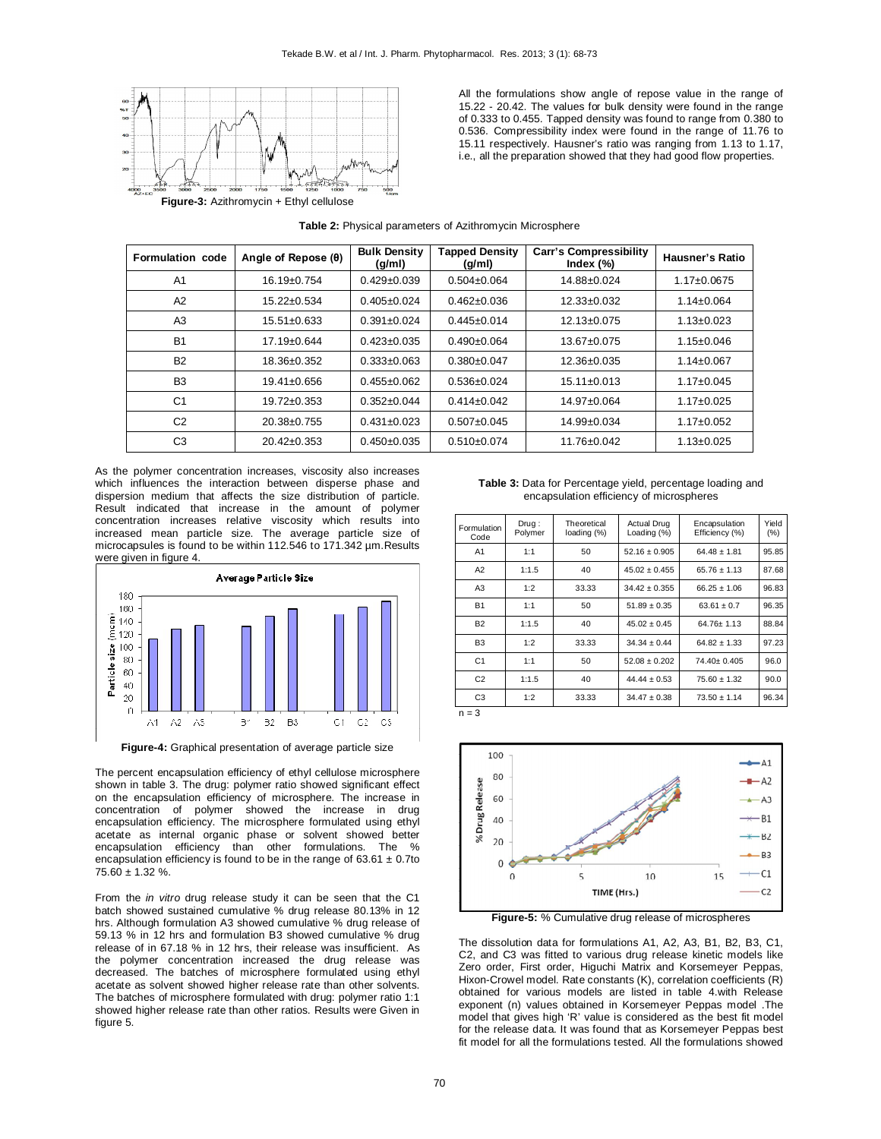

**Figure-3:** Azithromycin + Ethyl cellulose

All the formulations show angle of repose value in the range of 15.22 - 20.42. The values for bulk density were found in the range of 0.333 to 0.455. Tapped density was found to range from 0.380 to 0.536. Compressibility index were found in the range of 11.76 to 15.11 respectively. Hausner's ratio was ranging from 1.13 to 1.17, i.e., all the preparation showed that they had good flow properties.

| <b>Formulation code</b> | Angle of Repose $(\theta)$ | <b>Bulk Density</b><br>(g/ml) | <b>Tapped Density</b><br>(g/ml) | <b>Carr's Compressibility</b><br>Index $(\%)$ | Hausner's Ratio   |
|-------------------------|----------------------------|-------------------------------|---------------------------------|-----------------------------------------------|-------------------|
| A1                      | $16.19 \pm 0.754$          | $0.429 \pm 0.039$             | $0.504 \pm 0.064$               | 14.88±0.024                                   | $1.17 \pm 0.0675$ |
| A2                      | $15.22 \pm 0.534$          | $0.405 \pm 0.024$             | $0.462 \pm 0.036$               | $12.33 \pm 0.032$                             | $1.14 \pm 0.064$  |
| A <sub>3</sub>          | $15.51 \pm 0.633$          | $0.391 \pm 0.024$             | $0.445 \pm 0.014$               | $12.13 \pm 0.075$                             | $1.13 \pm 0.023$  |
| <b>B1</b>               | 17.19±0.644                | $0.423 \pm 0.035$             | $0.490+0.064$                   | 13.67±0.075                                   | $1.15 \pm 0.046$  |
| <b>B2</b>               | $18.36 \pm 0.352$          | $0.333 \pm 0.063$             | $0.380+0.047$                   | 12.36±0.035                                   | $1.14 \pm 0.067$  |
| B <sub>3</sub>          | $19.41 \pm 0.656$          | $0.455 \pm 0.062$             | $0.536 \pm 0.024$               | $15.11 \pm 0.013$                             | $1.17 \pm 0.045$  |
| C <sub>1</sub>          | $19.72 \pm 0.353$          | $0.352 \pm 0.044$             | $0.414 \pm 0.042$               | $14.97 \pm 0.064$                             | $1.17 \pm 0.025$  |
| C <sub>2</sub>          | $20.38 + 0.755$            | $0.431 \pm 0.023$             | $0.507 + 0.045$                 | 14.99±0.034                                   | $1.17 \pm 0.052$  |
| C <sub>3</sub>          | $20.42 \pm 0.353$          | $0.450 \pm 0.035$             | $0.510 \pm 0.074$               | 11.76±0.042                                   | $1.13 \pm 0.025$  |

**Table 2:** Physical parameters of Azithromycin Microsphere

As the polymer concentration increases, viscosity also increases which influences the interaction between disperse phase and dispersion medium that affects the size distribution of particle. Result indicated that increase in the amount of polymer concentration increases relative viscosity which results into increased mean particle size. The average particle size of microcapsules is found to be within 112.546 to 171.342 µm.Results were given in figure 4.



**Figure-4:** Graphical presentation of average particle size

The percent encapsulation efficiency of ethyl cellulose microsphere shown in table 3. The drug: polymer ratio showed significant effect on the encapsulation efficiency of microsphere. The increase in concentration of polymer showed the increase in drug encapsulation efficiency. The microsphere formulated using ethyl acetate as internal organic phase or solvent showed better encapsulation efficiency than other formulations. The % encapsulation efficiency is found to be in the range of  $63.61 \pm 0.7$ to 75.60 ± 1.32 %.

From the *in vitro* drug release study it can be seen that the C1 batch showed sustained cumulative % drug release 80.13% in 12 hrs. Although formulation A3 showed cumulative % drug release of 59.13 % in 12 hrs and formulation B3 showed cumulative % drug release of in 67.18 % in 12 hrs, their release was insufficient. As the polymer concentration increased the drug release was decreased. The batches of microsphere formulated using ethyl acetate as solvent showed higher release rate than other solvents. The batches of microsphere formulated with drug: polymer ratio 1:1 showed higher release rate than other ratios. Results were Given in figure 5.

| Table 3: Data for Percentage yield, percentage loading and |  |
|------------------------------------------------------------|--|
| encapsulation efficiency of microspheres                   |  |

| Formulation<br>Code | Drug:<br>Polymer | Theoretical<br>loading (%) | <b>Actual Drug</b><br>Loading (%) | Encapsulation<br>Efficiency (%) | Yield<br>$(\% )$ |
|---------------------|------------------|----------------------------|-----------------------------------|---------------------------------|------------------|
| A1                  | 1:1              | 50                         | $52.16 \pm 0.905$                 | $64.48 + 1.81$                  | 95.85            |
| A <sub>2</sub>      | 1:1.5            | 40                         | $45.02 + 0.455$                   | $65.76 \pm 1.13$                | 87.68            |
| A <sub>3</sub>      | 1:2              | 33.33                      | $34.42 \pm 0.355$                 | $66.25 + 1.06$                  | 96.83            |
| <b>B1</b>           | 1:1              | 50                         | $51.89 + 0.35$                    | $63.61 + 0.7$                   | 96.35            |
| <b>B2</b>           | 1:1.5            | 40                         | $45.02 \pm 0.45$                  | $64.76 + 1.13$                  | 88.84            |
| B <sub>3</sub>      | 1:2              | 33.33                      | $34.34 + 0.44$                    | $64.82 + 1.33$                  | 97.23            |
| C <sub>1</sub>      | 1:1              | 50                         | $52.08 + 0.202$                   | $74.40 \pm 0.405$               | 96.0             |
| C <sub>2</sub>      | 1:1.5            | 40                         | $44.44 \pm 0.53$                  | $75.60 \pm 1.32$                | 90.0             |
| C <sub>3</sub>      | 1:2              | 33.33                      | $34.47 \pm 0.38$                  | $73.50 + 1.14$                  | 96.34            |
| $n = 3$             |                  |                            |                                   |                                 |                  |



**Figure-5:** % Cumulative drug release of microspheres

The dissolution data for formulations A1, A2, A3, B1, B2, B3, C1, C2, and C3 was fitted to various drug release kinetic models like Zero order, First order, Higuchi Matrix and Korsemeyer Peppas, Hixon-Crowel model. Rate constants (K), correlation coefficients (R) obtained for various models are listed in table 4.with Release exponent (n) values obtained in Korsemeyer Peppas model .The model that gives high 'R' value is considered as the best fit model for the release data. It was found that as Korsemeyer Peppas best fit model for all the formulations tested. All the formulations showed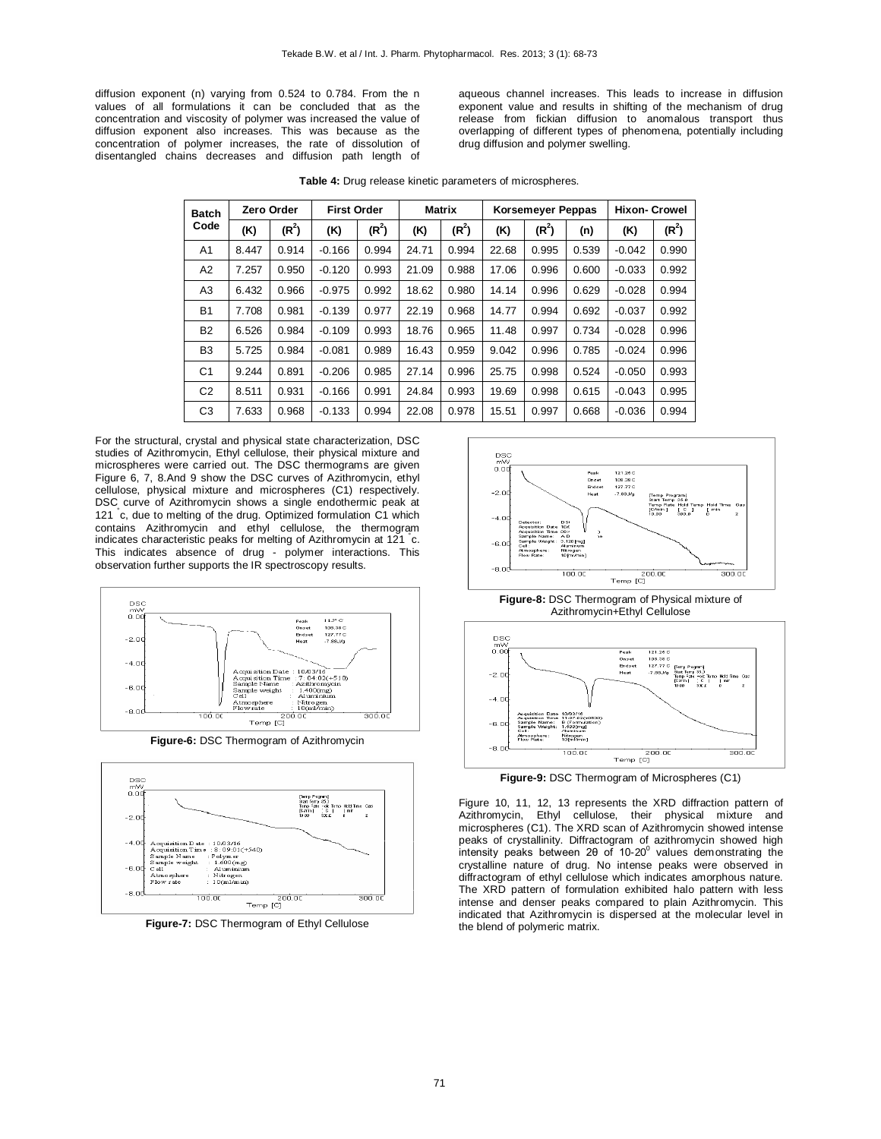diffusion exponent (n) varying from 0.524 to 0.784. From the n values of all formulations it can be concluded that as the concentration and viscosity of polymer was increased the value of diffusion exponent also increases. This was because as the concentration of polymer increases, the rate of dissolution of disentangled chains decreases and diffusion path length of

**Batch**

aqueous channel increases. This leads to increase in diffusion exponent value and results in shifting of the mechanism of drug release from fickian diffusion to anomalous transport thus overlapping of different types of phenomena, potentially including drug diffusion and polymer swelling.

| Zero Order   |              | <b>First Order</b> |        | <b>Matrix</b> |              | Korsemeyer Peppas   Hixon- Crowel |          |            |  |            |
|--------------|--------------|--------------------|--------|---------------|--------------|-----------------------------------|----------|------------|--|------------|
| $\mathbf{u}$ | $\sqrt{D^2}$ | $\mathbf{u}$       | $1D^2$ | $\mathbf{u}$  | $\sqrt{D^2}$ | $\mathbf{u}$                      | $10^{2}$ | $\sqrt{2}$ |  | $\sqrt{2}$ |

**Table 4:** Drug release kinetic parameters of microspheres.

| Code           | (K)   | (R <sup>2</sup> ) | (K)      | (R <sup>2</sup> ) | (K)   | (R <sup>2</sup> ) | (K)   | $(\mathsf{R}^2)$ | (n)   | (K)      | (R <sup>2</sup> ) |
|----------------|-------|-------------------|----------|-------------------|-------|-------------------|-------|------------------|-------|----------|-------------------|
| A1             | 8.447 | 0.914             | $-0.166$ | 0.994             | 24.71 | 0.994             | 22.68 | 0.995            | 0.539 | $-0.042$ | 0.990             |
| A2             | 7.257 | 0.950             | $-0.120$ | 0.993             | 21.09 | 0.988             | 17.06 | 0.996            | 0.600 | $-0.033$ | 0.992             |
| A3             | 6.432 | 0.966             | $-0.975$ | 0.992             | 18.62 | 0.980             | 14.14 | 0.996            | 0.629 | $-0.028$ | 0.994             |
| <b>B1</b>      | 7.708 | 0.981             | $-0.139$ | 0.977             | 22.19 | 0.968             | 14.77 | 0.994            | 0.692 | $-0.037$ | 0.992             |
| <b>B2</b>      | 6.526 | 0.984             | $-0.109$ | 0.993             | 18.76 | 0.965             | 11.48 | 0.997            | 0.734 | $-0.028$ | 0.996             |
| B <sub>3</sub> | 5.725 | 0.984             | $-0.081$ | 0.989             | 16.43 | 0.959             | 9.042 | 0.996            | 0.785 | $-0.024$ | 0.996             |
| C <sub>1</sub> | 9.244 | 0.891             | $-0.206$ | 0.985             | 27.14 | 0.996             | 25.75 | 0.998            | 0.524 | $-0.050$ | 0.993             |
| C <sub>2</sub> | 8.511 | 0.931             | $-0.166$ | 0.991             | 24.84 | 0.993             | 19.69 | 0.998            | 0.615 | $-0.043$ | 0.995             |
| C <sub>3</sub> | 7.633 | 0.968             | $-0.133$ | 0.994             | 22.08 | 0.978             | 15.51 | 0.997            | 0.668 | $-0.036$ | 0.994             |

For the structural, crystal and physical state characterization, DSC studies of Azithromycin, Ethyl cellulose, their physical mixture and microspheres were carried out. The DSC thermograms are given Figure 6, 7, 8.And 9 show the DSC curves of Azithromycin, ethyl cellulose, physical mixture and microspheres (C1) respectively. DSC curve of Azithromycin shows a single endothermic peak at 121 ° c, due to melting of the drug. Optimized formulation C1 which contains Azithromycin and ethyl cellulose, the thermogram indicates characteristic peaks for melting of Azithromycin at 121 ° c. This indicates absence of drug - polymer interactions. This observation further supports the IR spectroscopy results.



**Figure-6:** DSC Thermogram of Azithromycin



**Figure-7:** DSC Thermogram of Ethyl Cellulose



**Figure-8:** DSC Thermogram of Physical mixture of Azithromycin+Ethyl Cellulose



**Figure-9:** DSC Thermogram of Microspheres (C1)

Figure 10, 11, 12, 13 represents the XRD diffraction pattern of Azithromycin, Ethyl cellulose, their physical mixture and microspheres (C1). The XRD scan of Azithromycin showed intense peaks of crystallinity. Diffractogram of azithromycin showed high intensity peaks between 20 of 10-20 $^{\circ}$  values demonstrating the crystalline nature of drug. No intense peaks were observed in diffractogram of ethyl cellulose which indicates amorphous nature. The XRD pattern of formulation exhibited halo pattern with less intense and denser peaks compared to plain Azithromycin. This indicated that Azithromycin is dispersed at the molecular level in the blend of polymeric matrix.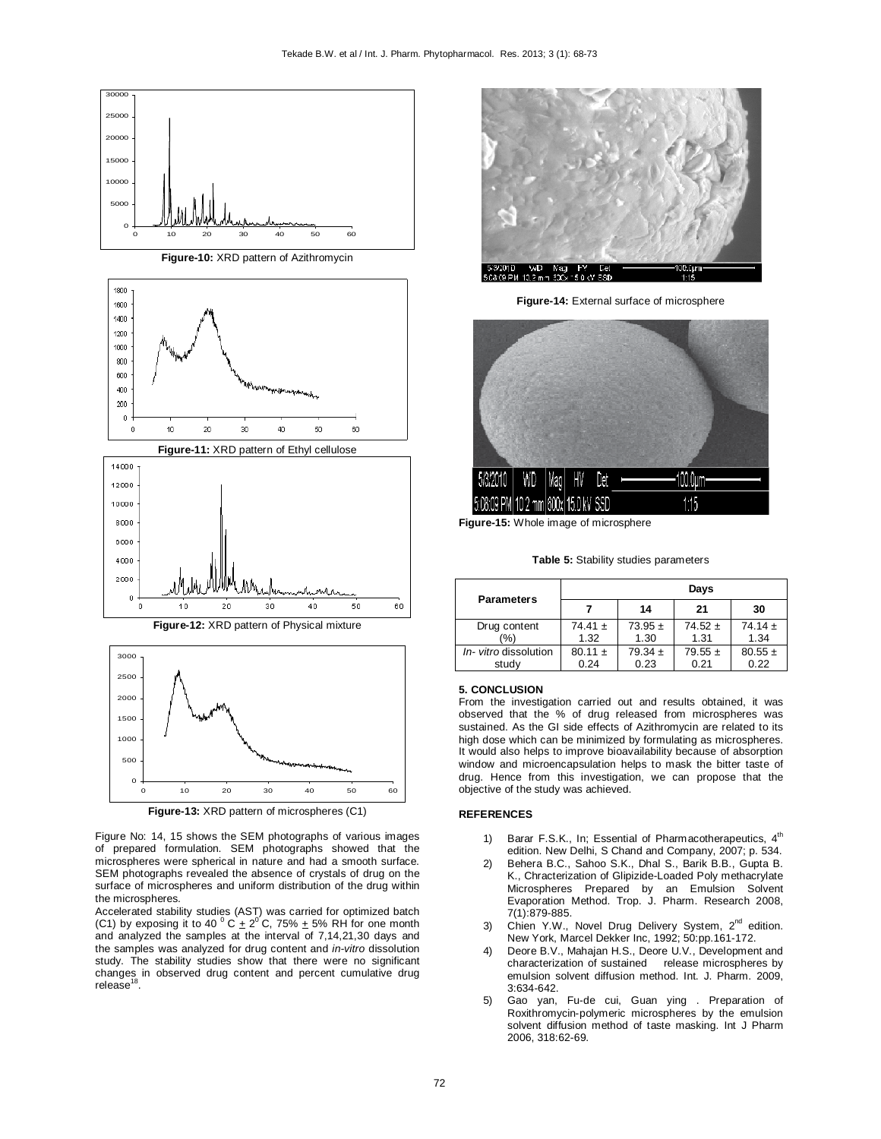

**Figure-10:** XRD pattern of Azithromycin





**Figure-12:** XRD pattern of Physical mixture



**Figure-13:** XRD pattern of microspheres (C1)

Figure No: 14, 15 shows the SEM photographs of various images of prepared formulation. SEM photographs showed that the microspheres were spherical in nature and had a smooth surface. SEM photographs revealed the absence of crystals of drug on the surface of microspheres and uniform distribution of the drug within the microspheres.

Accelerated stability studies (AST) was carried for optimized batch (C1) by exposing it to 40  $\mathrm{^0 C + 2^{0}C}$ , 75%  $\mathrm{\pm}$  5% RH for one month and analyzed the samples at the interval of 7,14,21,30 days and the samples was analyzed for drug content and *in-vitro* dissolution study. The stability studies show that there were no significant changes in observed drug content and percent cumulative drug release .



**Figure-14:** External surface of microsphere



**Figure-15:** Whole image of microsphere

**Table 5:** Stability studies parameters

| <b>Parameters</b>     | Days        |             |             |             |  |  |  |  |
|-----------------------|-------------|-------------|-------------|-------------|--|--|--|--|
|                       |             | 14          | 21          | 30          |  |  |  |  |
| Drug content          | $74.41 \pm$ | $73.95 \pm$ | $74.52 \pm$ | $74.14 \pm$ |  |  |  |  |
| (%)                   | 1.32        | 1.30        | 1.31        | 1.34        |  |  |  |  |
| In- vitro dissolution | $80.11 \pm$ | $79.34 \pm$ | $79.55 \pm$ | $80.55 \pm$ |  |  |  |  |
| study                 | 0.24        | 0.23        | 0.21        | 0.22        |  |  |  |  |

#### **5. CONCLUSION**

From the investigation carried out and results obtained, it was observed that the % of drug released from microspheres was sustained. As the GI side effects of Azithromycin are related to its high dose which can be minimized by formulating as microspheres. It would also helps to improve bioavailability because of absorption window and microencapsulation helps to mask the bitter taste of drug. Hence from this investigation, we can propose that the objective of the study was achieved.

## **REFERENCES**

- 1) Barar F.S.K., In; Essential of Pharmacotherapeutics, 4<sup>th</sup> edition. New Delhi, S Chand and Company, 2007; p. 534.
- 2) Behera B.C., Sahoo S.K., Dhal S., Barik B.B., Gupta B. K., Chracterization of Glipizide-Loaded Poly methacrylate Microspheres Prepared by an Emulsion Solvent Evaporation Method. Trop. J. Pharm. Research 2008, 7(1):879-885.
- 3) Chien Y.W., Novel Drug Delivery System,  $2^{nd}$  edition. New York, Marcel Dekker Inc, 1992; 50:pp.161-172.
- 4) Deore B.V., Mahajan H.S., Deore U.V., Development and characterization of sustained release microspheres by emulsion solvent diffusion method. Int. J. Pharm. 2009, 3:634-642.
- 5) Gao yan, Fu-de cui, Guan ying . Preparation of Roxithromycin-polymeric microspheres by the emulsion solvent diffusion method of taste masking. Int J Pharm 2006, 318:62-69.